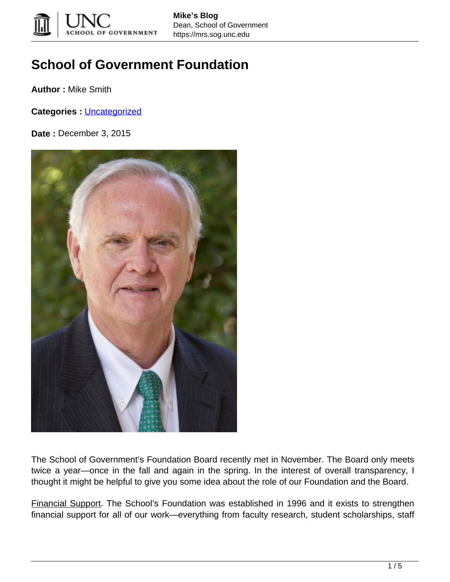

## **School of Government Foundation**

**Author :** Mike Smith

**Categories :** [Uncategorized](https://mrs.sog.unc.edu/category/uncategorized/)

**Date :** December 3, 2015



The School of Government's Foundation Board recently met in November. The Board only meets twice a year—once in the fall and again in the spring. In the interest of overall transparency, I thought it might be helpful to give you some idea about the role of our Foundation and the Board.

Financial Support. The School's Foundation was established in 1996 and it exists to strengthen financial support for all of our work—everything from faculty research, student scholarships, staff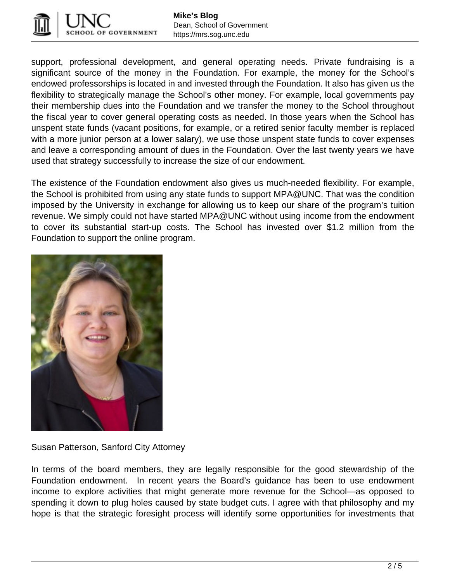

support, professional development, and general operating needs. Private fundraising is a significant source of the money in the Foundation. For example, the money for the School's endowed professorships is located in and invested through the Foundation. It also has given us the flexibility to strategically manage the School's other money. For example, local governments pay their membership dues into the Foundation and we transfer the money to the School throughout the fiscal year to cover general operating costs as needed. In those years when the School has unspent state funds (vacant positions, for example, or a retired senior faculty member is replaced with a more junior person at a lower salary), we use those unspent state funds to cover expenses and leave a corresponding amount of dues in the Foundation. Over the last twenty years we have used that strategy successfully to increase the size of our endowment.

The existence of the Foundation endowment also gives us much-needed flexibility. For example, the School is prohibited from using any state funds to support MPA@UNC. That was the condition imposed by the University in exchange for allowing us to keep our share of the program's tuition revenue. We simply could not have started MPA@UNC without using income from the endowment to cover its substantial start-up costs. The School has invested over \$1.2 million from the Foundation to support the online program.



Susan Patterson, Sanford City Attorney

In terms of the board members, they are legally responsible for the good stewardship of the Foundation endowment. In recent years the Board's guidance has been to use endowment income to explore activities that might generate more revenue for the School—as opposed to spending it down to plug holes caused by state budget cuts. I agree with that philosophy and my hope is that the strategic foresight process will identify some opportunities for investments that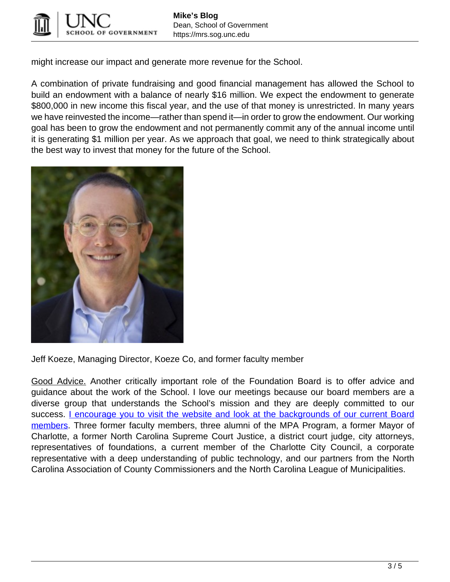

might increase our impact and generate more revenue for the School.

A combination of private fundraising and good financial management has allowed the School to build an endowment with a balance of nearly \$16 million. We expect the endowment to generate \$800,000 in new income this fiscal year, and the use of that money is unrestricted. In many years we have reinvested the income—rather than spend it—in order to grow the endowment. Our working goal has been to grow the endowment and not permanently commit any of the annual income until it is generating \$1 million per year. As we approach that goal, we need to think strategically about the best way to invest that money for the future of the School.



Jeff Koeze, Managing Director, Koeze Co, and former faculty member

Good Advice. Another critically important role of the Foundation Board is to offer advice and guidance about the work of the School. I love our meetings because our board members are a diverse group that understands the School's mission and they are deeply committed to our success. [I encourage you to visit the website and look at the backgrounds of our current Board](https://www.sog.unc.edu/giving/board-of-directors/#!/) [members.](https://www.sog.unc.edu/giving/board-of-directors/#!/) Three former faculty members, three alumni of the MPA Program, a former Mayor of Charlotte, a former North Carolina Supreme Court Justice, a district court judge, city attorneys, representatives of foundations, a current member of the Charlotte City Council, a corporate representative with a deep understanding of public technology, and our partners from the North Carolina Association of County Commissioners and the North Carolina League of Municipalities.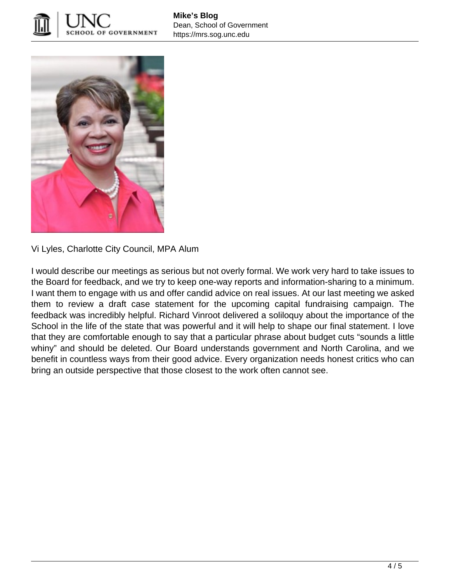



Vi Lyles, Charlotte City Council, MPA Alum

I would describe our meetings as serious but not overly formal. We work very hard to take issues to the Board for feedback, and we try to keep one-way reports and information-sharing to a minimum. I want them to engage with us and offer candid advice on real issues. At our last meeting we asked them to review a draft case statement for the upcoming capital fundraising campaign. The feedback was incredibly helpful. Richard Vinroot delivered a soliloquy about the importance of the School in the life of the state that was powerful and it will help to shape our final statement. I love that they are comfortable enough to say that a particular phrase about budget cuts "sounds a little whiny" and should be deleted. Our Board understands government and North Carolina, and we benefit in countless ways from their good advice. Every organization needs honest critics who can bring an outside perspective that those closest to the work often cannot see.